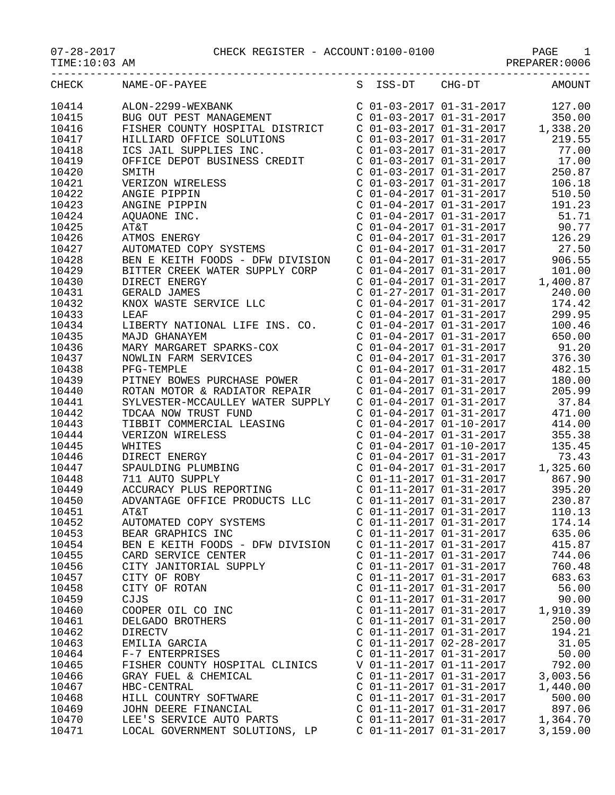## 07-28-2017 CHECK REGISTER - ACCOUNT:0100-0100 PAGE 1

PREPARER:0006

| CHECK | NAME-OF-PAYEE                                                                                                                                                                                                                |                         | S ISS-DT CHG-DT                                    | AMOUNT                                                                                                                                                                   |
|-------|------------------------------------------------------------------------------------------------------------------------------------------------------------------------------------------------------------------------------|-------------------------|----------------------------------------------------|--------------------------------------------------------------------------------------------------------------------------------------------------------------------------|
| 10414 | ALON-2299-WEXBANK<br>BUG OUT PEST MANAGEMENT<br>FISHER COUNTY HOSPITAL DISTRICT C 01-03-2017 01-31-2017 1,338.20                                                                                                             |                         |                                                    |                                                                                                                                                                          |
| 10415 |                                                                                                                                                                                                                              |                         |                                                    |                                                                                                                                                                          |
| 10416 |                                                                                                                                                                                                                              |                         |                                                    |                                                                                                                                                                          |
| 10417 |                                                                                                                                                                                                                              |                         |                                                    |                                                                                                                                                                          |
| 10418 | HILLIARD OFFICE SOLUTIONS<br>ICS JAIL SUPPLIES INC.<br>C 01-03-2017 01-31-2017 219.55<br>C 01-03-2017 01-31-2017 77.00<br>OFFICE DEPOT BUSINESS CREDIT C 01-03-2017 01-31-2017 17.00<br>SMITH C 01-03-2017 01-31-2017 250.87 |                         |                                                    |                                                                                                                                                                          |
| 10419 |                                                                                                                                                                                                                              |                         |                                                    |                                                                                                                                                                          |
| 10420 |                                                                                                                                                                                                                              |                         |                                                    |                                                                                                                                                                          |
| 10421 |                                                                                                                                                                                                                              |                         |                                                    |                                                                                                                                                                          |
| 10422 |                                                                                                                                                                                                                              |                         |                                                    |                                                                                                                                                                          |
| 10423 |                                                                                                                                                                                                                              |                         |                                                    |                                                                                                                                                                          |
| 10424 |                                                                                                                                                                                                                              |                         |                                                    |                                                                                                                                                                          |
| 10425 |                                                                                                                                                                                                                              |                         |                                                    |                                                                                                                                                                          |
| 10426 |                                                                                                                                                                                                                              |                         |                                                    |                                                                                                                                                                          |
| 10427 |                                                                                                                                                                                                                              |                         |                                                    |                                                                                                                                                                          |
| 10428 | BEN E KEITH FOODS - DFW DIVISION C 01-04-2017 01-31-2017                                                                                                                                                                     |                         |                                                    | 906.55                                                                                                                                                                   |
| 10429 | BITTER CREEK WATER SUPPLY CORP                                                                                                                                                                                               |                         |                                                    | $\begin{tabular}{lllllllllll} C&01-04-2017&01-31-2017&101.00 \\ C&01-04-2017&01-31-2017&1,400.87 \\ C&01-27-2017&01-31-2017&240.00 \end{tabular}$                        |
| 10430 | DIRECT ENERGY                                                                                                                                                                                                                |                         |                                                    |                                                                                                                                                                          |
| 10431 | <b>GERALD JAMES</b>                                                                                                                                                                                                          |                         |                                                    |                                                                                                                                                                          |
| 10432 | KNOX WASTE SERVICE LLC                                                                                                                                                                                                       |                         | $C$ 01-04-2017 01-31-2017                          | 174.42                                                                                                                                                                   |
| 10433 | LEAF                                                                                                                                                                                                                         |                         | C 01-04-2017 01-31-2017                            | 299.95                                                                                                                                                                   |
| 10434 | LIBERTY NATIONAL LIFE INS. CO.                                                                                                                                                                                               |                         | $C$ 01-04-2017 01-31-2017                          | 100.46                                                                                                                                                                   |
| 10435 | MAJD GHANAYEM                                                                                                                                                                                                                |                         |                                                    | 650.00                                                                                                                                                                   |
| 10436 |                                                                                                                                                                                                                              |                         | C 01-04-2017 01-31-2017<br>C 01-04-2017 01-31-2017 | 91.20                                                                                                                                                                    |
| 10437 | MARY MARGARET SPARKS-COX<br>NOWLIN FARM SERVICES<br>PFG-TEMPLE                                                                                                                                                               |                         | $C$ 01-04-2017 01-31-2017                          | 376.30                                                                                                                                                                   |
| 10438 |                                                                                                                                                                                                                              |                         | C 01-04-2017 01-31-2017                            | 482.15                                                                                                                                                                   |
| 10439 | PITNEY BOWES PURCHASE POWER C 01-04-2017 01-31-2017                                                                                                                                                                          |                         |                                                    | 180.00                                                                                                                                                                   |
| 10440 |                                                                                                                                                                                                                              |                         |                                                    | 205.99                                                                                                                                                                   |
| 10441 | ROTAN MOTOR & RADIATOR REPAIR<br>SYLVESTER-MCCAULLEY WATER SUPPLY<br>TDCAA NOW TRUST FUND<br>C 01-04-2017 01-31-2017                                                                                                         |                         |                                                    | 37.84                                                                                                                                                                    |
| 10442 |                                                                                                                                                                                                                              |                         |                                                    | 471.00                                                                                                                                                                   |
| 10443 | TDCAA NOW TRUST FUND<br>TIBBIT COMMERCIAL LEASING                                                                                                                                                                            |                         |                                                    | $C$ 01-04-2017 01-10-2017 414.00                                                                                                                                         |
| 10444 | VERIZON WIRELESS<br>WHITES<br>DIRECT ENERGY<br>SPAULDING PLUMBING<br>711 AUTO SUPPLY                                                                                                                                         |                         | $C$ 01-04-2017 01-31-2017                          | 355.38                                                                                                                                                                   |
| 10445 |                                                                                                                                                                                                                              |                         |                                                    | $\begin{tabular}{lllllllll}c&01-04-2017&01-10-2017&135.45\\C&01-04-2017&01-31-2017&73.43\\C&01-04-2017&01-31-2017&1,325.60\\C&01-11-2017&01-31-2017&867.90\end{tabular}$ |
| 10446 |                                                                                                                                                                                                                              |                         |                                                    |                                                                                                                                                                          |
| 10447 |                                                                                                                                                                                                                              |                         |                                                    |                                                                                                                                                                          |
| 10448 | 711 AUTO SUPPLY                                                                                                                                                                                                              |                         |                                                    |                                                                                                                                                                          |
| 10449 | ACCURACY PLUS REPORTING                                                                                                                                                                                                      |                         | C 01-11-2017 01-31-2017                            | 395.20                                                                                                                                                                   |
| 10450 | ADVANTAGE OFFICE PRODUCTS LLC                                                                                                                                                                                                |                         | C 01-11-2017 01-31-2017                            | 230.87                                                                                                                                                                   |
| 10451 | AT&T                                                                                                                                                                                                                         |                         | C 01-11-2017 01-31-2017                            | 110.13                                                                                                                                                                   |
| 10452 | AUTOMATED COPY SYSTEMS                                                                                                                                                                                                       | C 01-11-2017 01-31-2017 |                                                    | 174.14                                                                                                                                                                   |
| 10453 | BEAR GRAPHICS INC                                                                                                                                                                                                            |                         | C 01-11-2017 01-31-2017                            | 635.06                                                                                                                                                                   |
| 10454 | BEN E KEITH FOODS - DFW DIVISION                                                                                                                                                                                             |                         | C 01-11-2017 01-31-2017                            | 415.87                                                                                                                                                                   |
| 10455 | CARD SERVICE CENTER                                                                                                                                                                                                          |                         | $C$ 01-11-2017 01-31-2017                          | 744.06                                                                                                                                                                   |
| 10456 | CITY JANITORIAL SUPPLY                                                                                                                                                                                                       |                         | C 01-11-2017 01-31-2017                            | 760.48                                                                                                                                                                   |
| 10457 | CITY OF ROBY                                                                                                                                                                                                                 |                         | C 01-11-2017 01-31-2017                            | 683.63                                                                                                                                                                   |
| 10458 | CITY OF ROTAN                                                                                                                                                                                                                |                         | C 01-11-2017 01-31-2017                            | 56.00                                                                                                                                                                    |
| 10459 | CJJS                                                                                                                                                                                                                         |                         | C 01-11-2017 01-31-2017                            | 90.00                                                                                                                                                                    |
| 10460 | COOPER OIL CO INC                                                                                                                                                                                                            |                         | C 01-11-2017 01-31-2017                            | 1,910.39                                                                                                                                                                 |
| 10461 | DELGADO BROTHERS                                                                                                                                                                                                             |                         | $C$ 01-11-2017 01-31-2017                          | 250.00                                                                                                                                                                   |
| 10462 | <b>DIRECTV</b>                                                                                                                                                                                                               |                         | C 01-11-2017 01-31-2017                            | 194.21                                                                                                                                                                   |
| 10463 | EMILIA GARCIA                                                                                                                                                                                                                |                         | C 01-11-2017 02-28-2017                            | 31.05                                                                                                                                                                    |
| 10464 | F-7 ENTERPRISES                                                                                                                                                                                                              |                         | C 01-11-2017 01-31-2017                            | 50.00                                                                                                                                                                    |
| 10465 | FISHER COUNTY HOSPITAL CLINICS                                                                                                                                                                                               |                         | V 01-11-2017 01-11-2017                            | 792.00                                                                                                                                                                   |
| 10466 | GRAY FUEL & CHEMICAL                                                                                                                                                                                                         |                         | $C$ 01-11-2017 01-31-2017                          | 3,003.56                                                                                                                                                                 |
| 10467 | HBC-CENTRAL                                                                                                                                                                                                                  |                         | C 01-11-2017 01-31-2017                            | 1,440.00                                                                                                                                                                 |
| 10468 | HILL COUNTRY SOFTWARE                                                                                                                                                                                                        |                         | C 01-11-2017 01-31-2017                            | 500.00                                                                                                                                                                   |
| 10469 | JOHN DEERE FINANCIAL                                                                                                                                                                                                         |                         | C 01-11-2017 01-31-2017                            | 897.06                                                                                                                                                                   |
| 10470 | LEE'S SERVICE AUTO PARTS                                                                                                                                                                                                     |                         | $C$ 01-11-2017 01-31-2017                          | 1,364.70                                                                                                                                                                 |
| 10471 | LOCAL GOVERNMENT SOLUTIONS, LP C 01-11-2017 01-31-2017                                                                                                                                                                       |                         |                                                    | 3,159.00                                                                                                                                                                 |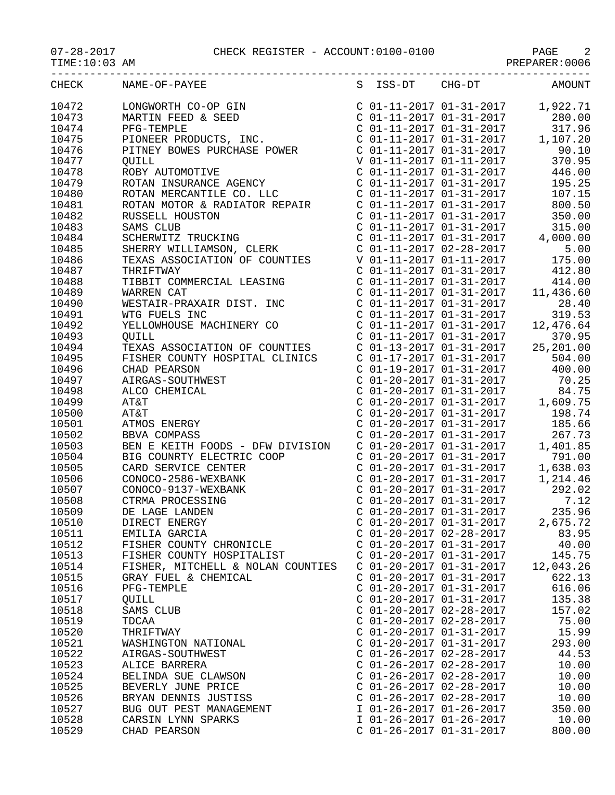07-28-2017 CHECK REGISTER - ACCOUNT:0100-0100 PAGE 2

|                | CHECK NAME-OF-PAYEE                                                                                                                                                                                                                                                                                                                                                          |                                                      | S ISS-DT CHG-DT AMOUNT                                                                                                                                                                |
|----------------|------------------------------------------------------------------------------------------------------------------------------------------------------------------------------------------------------------------------------------------------------------------------------------------------------------------------------------------------------------------------------|------------------------------------------------------|---------------------------------------------------------------------------------------------------------------------------------------------------------------------------------------|
| 10472          | LONGWORTH CO-OP GIN<br>MARTIN FEED & SEED COL-11-2017 01-31-2017 1,922.71<br>PFG-TEMPLE COL-11-2017 01-31-2017 280.00<br>PFG-TEMPLE COL-11-2017 01-31-2017 317.96<br>PIONEER PRODUCTS, INC. COL-11-2017 01-31-2017 1,107.20<br>PITNEY BO                                                                                                                                     |                                                      | C $01-11-2017$ $01-31-2017$ 1,922.71                                                                                                                                                  |
| 10473          |                                                                                                                                                                                                                                                                                                                                                                              |                                                      |                                                                                                                                                                                       |
| 10474          |                                                                                                                                                                                                                                                                                                                                                                              |                                                      |                                                                                                                                                                                       |
| 10475          |                                                                                                                                                                                                                                                                                                                                                                              |                                                      |                                                                                                                                                                                       |
| 10476          |                                                                                                                                                                                                                                                                                                                                                                              |                                                      |                                                                                                                                                                                       |
| 10477          |                                                                                                                                                                                                                                                                                                                                                                              |                                                      |                                                                                                                                                                                       |
| 10478          |                                                                                                                                                                                                                                                                                                                                                                              |                                                      |                                                                                                                                                                                       |
| 10479          |                                                                                                                                                                                                                                                                                                                                                                              |                                                      |                                                                                                                                                                                       |
| 10480          |                                                                                                                                                                                                                                                                                                                                                                              |                                                      |                                                                                                                                                                                       |
| 10481          |                                                                                                                                                                                                                                                                                                                                                                              |                                                      |                                                                                                                                                                                       |
| 10482          |                                                                                                                                                                                                                                                                                                                                                                              |                                                      |                                                                                                                                                                                       |
| 10483          |                                                                                                                                                                                                                                                                                                                                                                              |                                                      |                                                                                                                                                                                       |
| 10484          |                                                                                                                                                                                                                                                                                                                                                                              |                                                      |                                                                                                                                                                                       |
| 10485          |                                                                                                                                                                                                                                                                                                                                                                              |                                                      |                                                                                                                                                                                       |
| 10486          |                                                                                                                                                                                                                                                                                                                                                                              |                                                      |                                                                                                                                                                                       |
| 10487          | $\begin{tabular}{c c c c} \multicolumn{1}{c}{\textbf{PITNEY} \textbf{ BOWES} \textbf{ PURCHASE POWER} & $\text{C 01--11-2017 01--31-2017}$ & 90.10\\ \multicolumn{1}{c}{\textbf{QUIL}} & $\text{V 01--11-2017 01--31-2017}$ & 370.95\\ \textbf{ROTAN INSUMANCE AGENCY} & $\text{C 01--11-2017 01--31-2017}$ & 446.00\\ \textbf{ROTAN MERCANTILE CO. LLC} & $\text{C 01--11-$ |                                                      |                                                                                                                                                                                       |
| 10488          |                                                                                                                                                                                                                                                                                                                                                                              |                                                      |                                                                                                                                                                                       |
| 10489          |                                                                                                                                                                                                                                                                                                                                                                              |                                                      |                                                                                                                                                                                       |
| 10490          |                                                                                                                                                                                                                                                                                                                                                                              |                                                      |                                                                                                                                                                                       |
| 10491          |                                                                                                                                                                                                                                                                                                                                                                              |                                                      | $\begin{array}{ccccccccc}\n & -2 & -1 & -1 & -1 & -1 & -2017 & & & & 28.40 \\ C & 01 & -11 & -2017 & 01 & -31 & -2017 & & & 319.52 \\ C & 01 & -11 & -2017 & 01 & 0 & 0\n\end{array}$ |
| 10492          | WARREN CAT<br>WESTAIR-PRAXAIR DIST. INC<br>WESTAIR-PRAXAIR DIST. INC<br>WESTAIR-PRAXAIR DIST. INC<br>C 01-11-2017 01-31-2017<br>C 01-11-2017 01-31-2017<br>C 01-11-2017 01-31-2017<br>C 01-11-2017 01-31-2017<br>C 01-11-2017 01-31-2017<br>C 01                                                                                                                             |                                                      |                                                                                                                                                                                       |
| 10493          |                                                                                                                                                                                                                                                                                                                                                                              |                                                      |                                                                                                                                                                                       |
| 10494          | TEXAS ASSOCIATION OF COUNTIES C 01-13-2017 01-31-2017 25,201.00                                                                                                                                                                                                                                                                                                              |                                                      |                                                                                                                                                                                       |
| 10495          | FISHER COUNTY HOSPITAL CLINICS                                                                                                                                                                                                                                                                                                                                               |                                                      | $\begin{array}{cccccc} \texttt{C} & 01-17-2017 & 01-31-2017 & 504.00 \\ \texttt{C} & 01-19-2017 & 01-31-2017 & 400.00 \\ \texttt{C} & 01-20-2017 & 01-31-2017 & 70.25 \end{array}$    |
| 10496          | CHAD PEARSON                                                                                                                                                                                                                                                                                                                                                                 |                                                      |                                                                                                                                                                                       |
| 10497          | AIRGAS-SOUTHWEST                                                                                                                                                                                                                                                                                                                                                             |                                                      |                                                                                                                                                                                       |
| 10498          | ALCO CHEMICAL                                                                                                                                                                                                                                                                                                                                                                |                                                      | $C$ 01-20-2017 01-31-2017 84.75                                                                                                                                                       |
| 10499          | AT&T                                                                                                                                                                                                                                                                                                                                                                         |                                                      | C $01-20-2017$ $01-31-2017$ 1,609.75                                                                                                                                                  |
| 10500          | AT&T<br>ATMOS ENERGY<br>ATMOS ENERGY<br>ATMOS ENERGY<br>ATMOS ENERGY<br>C 01-20-2017 01-31-2017<br>C 01-20-2017 01-31-2017<br>C 01-20-2017 01-31-2017<br>267.73<br>BEN E KEITH FOODS - DFW DIVISION<br>C 01-20-2017 01-31-2017<br>C 01-20-2017 01-31                                                                                                                         |                                                      |                                                                                                                                                                                       |
| 10501          |                                                                                                                                                                                                                                                                                                                                                                              |                                                      |                                                                                                                                                                                       |
| 10502          |                                                                                                                                                                                                                                                                                                                                                                              |                                                      |                                                                                                                                                                                       |
| 10503          |                                                                                                                                                                                                                                                                                                                                                                              |                                                      |                                                                                                                                                                                       |
| 10504          | BIG COUNRTY ELECTRIC COOP<br>COND SERVICE CENTER<br>CONOCO-2586-WEXBANK<br>CONOCO-9137-WEXBANK<br>CONOCO-9137-WEXBANK<br>CONOCO-9137-WEXBANK<br>CONOCO-9137-WEXBANK<br>CONOCO-9137-WEXBANK<br>CONOCO-9137-WEXBANK<br>CONOCO-9137-WEXBANK<br>CONOCO                                                                                                                           |                                                      |                                                                                                                                                                                       |
| 10505          |                                                                                                                                                                                                                                                                                                                                                                              |                                                      |                                                                                                                                                                                       |
| 10506          |                                                                                                                                                                                                                                                                                                                                                                              |                                                      |                                                                                                                                                                                       |
| 10507          |                                                                                                                                                                                                                                                                                                                                                                              |                                                      |                                                                                                                                                                                       |
| 10508          |                                                                                                                                                                                                                                                                                                                                                                              |                                                      |                                                                                                                                                                                       |
| 10509          |                                                                                                                                                                                                                                                                                                                                                                              |                                                      |                                                                                                                                                                                       |
| 10510          | DIRECT ENERGY                                                                                                                                                                                                                                                                                                                                                                | $C$ 01-20-2017 01-31-2017                            | 2,675.72                                                                                                                                                                              |
| 10511          | EMILIA GARCIA                                                                                                                                                                                                                                                                                                                                                                | C 01-20-2017 02-28-2017                              | 83.95                                                                                                                                                                                 |
| 10512          | FISHER COUNTY CHRONICLE                                                                                                                                                                                                                                                                                                                                                      | $C$ 01-20-2017 01-31-2017                            | 40.00                                                                                                                                                                                 |
| 10513          | FISHER COUNTY HOSPITALIST                                                                                                                                                                                                                                                                                                                                                    | $C$ 01-20-2017 01-31-2017                            | 145.75                                                                                                                                                                                |
| 10514          | FISHER, MITCHELL & NOLAN COUNTIES                                                                                                                                                                                                                                                                                                                                            | C 01-20-2017 01-31-2017                              | 12,043.26                                                                                                                                                                             |
| 10515          | GRAY FUEL & CHEMICAL                                                                                                                                                                                                                                                                                                                                                         | $C$ 01-20-2017 01-31-2017                            | 622.13                                                                                                                                                                                |
| 10516          | PFG-TEMPLE                                                                                                                                                                                                                                                                                                                                                                   | $C$ 01-20-2017 01-31-2017                            | 616.06                                                                                                                                                                                |
| 10517          | QUILL                                                                                                                                                                                                                                                                                                                                                                        | $C$ 01-20-2017 01-31-2017                            | 135.38                                                                                                                                                                                |
| 10518          | SAMS CLUB                                                                                                                                                                                                                                                                                                                                                                    | C 01-20-2017 02-28-2017                              | 157.02                                                                                                                                                                                |
| 10519          | TDCAA                                                                                                                                                                                                                                                                                                                                                                        | $C$ 01-20-2017 02-28-2017                            | 75.00                                                                                                                                                                                 |
| 10520          | THRIFTWAY                                                                                                                                                                                                                                                                                                                                                                    | $C$ 01-20-2017 01-31-2017                            | 15.99                                                                                                                                                                                 |
| 10521          | WASHINGTON NATIONAL                                                                                                                                                                                                                                                                                                                                                          | $C$ 01-20-2017 01-31-2017                            | 293.00                                                                                                                                                                                |
| 10522          | AIRGAS-SOUTHWEST                                                                                                                                                                                                                                                                                                                                                             | $C$ 01-26-2017 02-28-2017                            | 44.53                                                                                                                                                                                 |
| 10523          | ALICE BARRERA                                                                                                                                                                                                                                                                                                                                                                | $C$ 01-26-2017 02-28-2017                            | 10.00                                                                                                                                                                                 |
| 10524          | BELINDA SUE CLAWSON                                                                                                                                                                                                                                                                                                                                                          | $C$ 01-26-2017 02-28-2017                            | 10.00                                                                                                                                                                                 |
| 10525          | BEVERLY JUNE PRICE                                                                                                                                                                                                                                                                                                                                                           | $C$ 01-26-2017 02-28-2017                            | 10.00                                                                                                                                                                                 |
| 10526<br>10527 | BRYAN DENNIS JUSTISS                                                                                                                                                                                                                                                                                                                                                         | $C$ 01-26-2017 02-28-2017<br>I 01-26-2017 01-26-2017 | 10.00                                                                                                                                                                                 |
|                | BUG OUT PEST MANAGEMENT                                                                                                                                                                                                                                                                                                                                                      |                                                      | 350.00                                                                                                                                                                                |
| 10528          | CARSIN LYNN SPARKS                                                                                                                                                                                                                                                                                                                                                           | I 01-26-2017 01-26-2017                              | 10.00                                                                                                                                                                                 |

10529 CHAD PEARSON C 01-26-2017 01-31-2017 800.00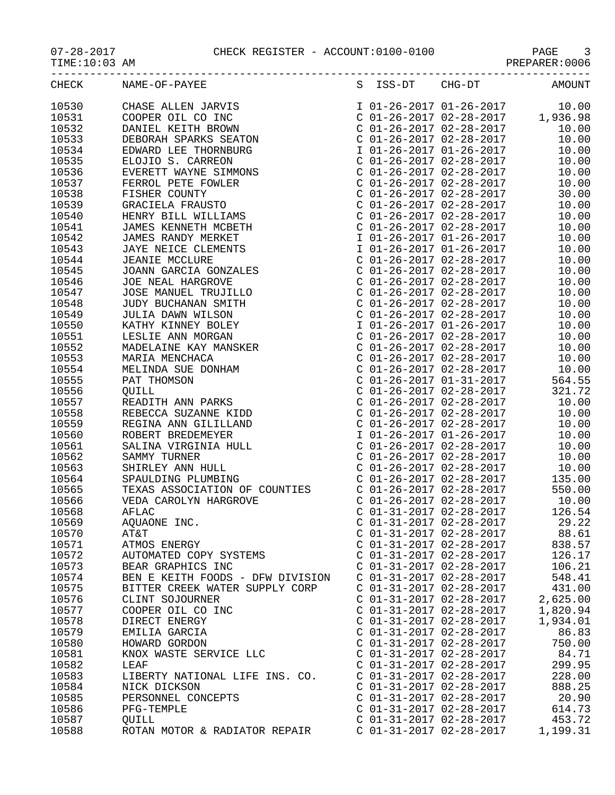## $07-28-2017$  CHECK REGISTER - ACCOUNT: $0100-0100$  TIME: $10:03$  AM

-----------------------------------------------------------------------------------

PAGE 9<br>PREPARER:0006

| CHECK | NAME-OF-PAYEE                               | S ISS-DT | CHG-DT                    | <b>AMOUNT</b> |
|-------|---------------------------------------------|----------|---------------------------|---------------|
| 10530 | CHASE ALLEN JARVIS                          |          | I 01-26-2017 01-26-2017   | 10.00         |
| 10531 | COOPER OIL CO INC                           |          | $C$ 01-26-2017 02-28-2017 | 1,936.98      |
| 10532 | DANIEL KEITH BROWN                          |          | $C$ 01-26-2017 02-28-2017 | 10.00         |
| 10533 | DEBORAH SPARKS SEATON                       |          | $C$ 01-26-2017 02-28-2017 | 10.00         |
| 10534 | EDWARD LEE THORNBURG                        |          | I 01-26-2017 01-26-2017   | 10.00         |
| 10535 | ELOJIO S. CARREON                           |          | C 01-26-2017 02-28-2017   | 10.00         |
| 10536 | EVERETT WAYNE SIMMONS                       |          | $C$ 01-26-2017 02-28-2017 | 10.00         |
| 10537 | FERROL PETE FOWLER                          |          | C 01-26-2017 02-28-2017   | 10.00         |
| 10538 | FISHER COUNTY                               |          | $C$ 01-26-2017 02-28-2017 | 30.00         |
| 10539 | GRACIELA FRAUSTO                            |          | $C$ 01-26-2017 02-28-2017 | 10.00         |
| 10540 | HENRY BILL WILLIAMS                         |          | C 01-26-2017 02-28-2017   | 10.00         |
| 10541 | JAMES KENNETH MCBETH                        |          | $C$ 01-26-2017 02-28-2017 | 10.00         |
| 10542 | JAMES RANDY MERKET                          |          | I 01-26-2017 01-26-2017   | 10.00         |
| 10543 | JAYE NEICE CLEMENTS                         |          | I 01-26-2017 01-26-2017   | 10.00         |
| 10544 | <b>JEANIE MCCLURE</b>                       |          | C 01-26-2017 02-28-2017   | 10.00         |
| 10545 | JEANIE MCCLORE<br>JOANN GARCIA GONZALES     |          | C 01-26-2017 02-28-2017   | 10.00         |
| 10546 | JOE NEAL HARGROVE                           |          | $C$ 01-26-2017 02-28-2017 | 10.00         |
| 10547 | JOSE MANUEL TRUJILLO                        |          | $C$ 01-26-2017 02-28-2017 | 10.00         |
| 10548 | JUDY BUCHANAN SMITH C 01-26-2017 02-28-2017 |          |                           | 10.00         |
| 10549 | JULIA DAWN WILSON                           |          | C 01-26-2017 02-28-2017   | 10.00         |
| 10550 | KATHY KINNEY BOLEY                          |          | I 01-26-2017 01-26-2017   | 10.00         |
| 10551 | LESLIE ANN MORGAN                           |          | C 01-26-2017 02-28-2017   | 10.00         |
| 10552 | MADELAINE KAY MANSKER                       |          | $C$ 01-26-2017 02-28-2017 | 10.00         |
| 10553 | MARIA MENCHACA                              |          | $C$ 01-26-2017 02-28-2017 | 10.00         |
| 10554 | MELINDA SUE DONHAM                          |          | $C$ 01-26-2017 02-28-2017 | 10.00         |
| 10555 | PAT THOMSON                                 |          | C 01-26-2017 01-31-2017   | 564.55        |
| 10556 | OUILL                                       |          | $C$ 01-26-2017 02-28-2017 | 321.72        |
| 10557 | READITH ANN PARKS                           |          | C 01-26-2017 02-28-2017   | 10.00         |
| 10558 | REBECCA SUZANNE KIDD                        |          | $C$ 01-26-2017 02-28-2017 | 10.00         |

| 10554                                                                                                                                                                                                                                                                                                                                                                                                                               | MELINDA SUE DONHAM                                     | $C$ 01-26-2017 02-28-2017 | 10.00       |
|-------------------------------------------------------------------------------------------------------------------------------------------------------------------------------------------------------------------------------------------------------------------------------------------------------------------------------------------------------------------------------------------------------------------------------------|--------------------------------------------------------|---------------------------|-------------|
| 10555                                                                                                                                                                                                                                                                                                                                                                                                                               | PAT THOMSON                                            | $C$ 01-26-2017 01-31-2017 | 564.55      |
| 10556                                                                                                                                                                                                                                                                                                                                                                                                                               | OUILL                                                  | C 01-26-2017 02-28-2017   | 321.72      |
| 10557                                                                                                                                                                                                                                                                                                                                                                                                                               | READITH ANN PARKS                                      | C 01-26-2017 02-28-2017   | 10.00       |
| 10558                                                                                                                                                                                                                                                                                                                                                                                                                               | REBECCA SUZANNE KIDD                                   | $C$ 01-26-2017 02-28-2017 | 10.00       |
| 10559                                                                                                                                                                                                                                                                                                                                                                                                                               | REGINA ANN GILILLAND                                   | $C$ 01-26-2017 02-28-2017 | 10.00       |
| 10560                                                                                                                                                                                                                                                                                                                                                                                                                               | ROBERT BREDEMEYER                                      | I 01-26-2017 01-26-2017   | 10.00       |
| 10561                                                                                                                                                                                                                                                                                                                                                                                                                               | SALINA VIRGINIA HULL                                   | C 01-26-2017 02-28-2017   | 10.00       |
| 10562                                                                                                                                                                                                                                                                                                                                                                                                                               | SAMMY TURNER                                           | C 01-26-2017 02-28-2017   | 10.00       |
| 10563                                                                                                                                                                                                                                                                                                                                                                                                                               | SHIRLEY ANN HULL                                       | $C$ 01-26-2017 02-28-2017 | 10.00       |
| 10564                                                                                                                                                                                                                                                                                                                                                                                                                               | SPAULDING PLUMBING                                     | C 01-26-2017 02-28-2017   | 135.00      |
| 10565                                                                                                                                                                                                                                                                                                                                                                                                                               | TEXAS ASSOCIATION OF COUNTIES                          | $C$ 01-26-2017 02-28-2017 | 550.00      |
| 10566                                                                                                                                                                                                                                                                                                                                                                                                                               | VEDA CAROLYN HARGROVE                                  | $C$ 01-26-2017 02-28-2017 | 10.00       |
| 10568                                                                                                                                                                                                                                                                                                                                                                                                                               | AFLAC                                                  | $C$ 01-31-2017 02-28-2017 | 126.54      |
| 10569                                                                                                                                                                                                                                                                                                                                                                                                                               | AQUAONE INC.                                           | C 01-31-2017 02-28-2017   | 29.22       |
| 10570                                                                                                                                                                                                                                                                                                                                                                                                                               | AT&T                                                   | $C$ 01-31-2017 02-28-2017 | 88.61       |
| 10571                                                                                                                                                                                                                                                                                                                                                                                                                               | ATMOS ENERGY<br>ATMOS ENERGY<br>AUTOMATED COPY SYSTEMS | C 01-31-2017 02-28-2017   | 838.57      |
| 10572                                                                                                                                                                                                                                                                                                                                                                                                                               |                                                        | C 01-31-2017 02-28-2017   | 126.17      |
| 10573                                                                                                                                                                                                                                                                                                                                                                                                                               | BEAR GRAPHICS INC                                      | C 01-31-2017 02-28-2017   | 106.21      |
| 10574                                                                                                                                                                                                                                                                                                                                                                                                                               | BEN E KEITH FOODS - DFW DIVISION                       | C 01-31-2017 02-28-2017   | 548.41      |
| 10575                                                                                                                                                                                                                                                                                                                                                                                                                               | BITTER CREEK WATER SUPPLY CORP                         | $C$ 01-31-2017 02-28-2017 | 431.00      |
| 10576                                                                                                                                                                                                                                                                                                                                                                                                                               | CLINT SOJOURNER                                        | C 01-31-2017 02-28-2017   | 2,625.00    |
| 10577                                                                                                                                                                                                                                                                                                                                                                                                                               | COOPER OIL CO INC                                      | $C$ 01-31-2017 02-28-2017 | 1,820.94    |
| 10578                                                                                                                                                                                                                                                                                                                                                                                                                               | DIRECT ENERGY                                          | C 01-31-2017 02-28-2017   | 1,934.01    |
| 10579                                                                                                                                                                                                                                                                                                                                                                                                                               | EMILIA GARCIA                                          | C 01-31-2017 02-28-2017   | 86.83       |
| 10580                                                                                                                                                                                                                                                                                                                                                                                                                               | HOWARD GORDON                                          | $C$ 01-31-2017 02-28-2017 | 750.00      |
| 10581                                                                                                                                                                                                                                                                                                                                                                                                                               | KNOX WASTE SERVICE LLC                                 | C 01-31-2017 02-28-2017   | 84.71       |
| 10582                                                                                                                                                                                                                                                                                                                                                                                                                               | LEAF                                                   | C 01-31-2017 02-28-2017   | 299.95      |
| 10583                                                                                                                                                                                                                                                                                                                                                                                                                               | LIBERTY NATIONAL LIFE INS. CO.                         | C 01-31-2017 02-28-2017   | 228.00      |
| 10584                                                                                                                                                                                                                                                                                                                                                                                                                               | NICK DICKSON                                           | $C$ 01-31-2017 02-28-2017 | 888.25      |
| 10585                                                                                                                                                                                                                                                                                                                                                                                                                               | PERSONNEL CONCEPTS                                     | C 01-31-2017 02-28-2017   | 20.90       |
| 10586                                                                                                                                                                                                                                                                                                                                                                                                                               | PFG-TEMPLE                                             | C 01-31-2017 02-28-2017   | 614.73      |
| $\blacksquare$ $\blacksquare$ $\blacksquare$ $\blacksquare$ $\blacksquare$ $\blacksquare$ $\blacksquare$ $\blacksquare$ $\blacksquare$ $\blacksquare$ $\blacksquare$ $\blacksquare$ $\blacksquare$ $\blacksquare$ $\blacksquare$ $\blacksquare$ $\blacksquare$ $\blacksquare$ $\blacksquare$ $\blacksquare$ $\blacksquare$ $\blacksquare$ $\blacksquare$ $\blacksquare$ $\blacksquare$ $\blacksquare$ $\blacksquare$ $\blacksquare$ | $\sim$ $\sim$ $\sim$ $\sim$                            |                           | $1 - 2 - 7$ |

| 10545                                                                                                                                                                                                                                                                   |                                                                                                                                                                                                                                                                                                                                                  | 10.00    |
|-------------------------------------------------------------------------------------------------------------------------------------------------------------------------------------------------------------------------------------------------------------------------|--------------------------------------------------------------------------------------------------------------------------------------------------------------------------------------------------------------------------------------------------------------------------------------------------------------------------------------------------|----------|
| 10546                                                                                                                                                                                                                                                                   | C 01-26-2017 02-28-2017<br>C 01-26-2017 02-28-2017                                                                                                                                                                                                                                                                                               | 10.00    |
| 10547                                                                                                                                                                                                                                                                   | $C$ 01-26-2017 02-28-2017                                                                                                                                                                                                                                                                                                                        | 10.00    |
| 10548                                                                                                                                                                                                                                                                   |                                                                                                                                                                                                                                                                                                                                                  | 10.00    |
| 10549                                                                                                                                                                                                                                                                   | C 01-26-2017 02-28-2017<br>C 01-26-2017 02-28-2017                                                                                                                                                                                                                                                                                               | 10.00    |
| 10550                                                                                                                                                                                                                                                                   | I 01-26-2017 01-26-2017                                                                                                                                                                                                                                                                                                                          | 10.00    |
| 10551                                                                                                                                                                                                                                                                   | $C$ 01-26-2017 02-28-2017                                                                                                                                                                                                                                                                                                                        | 10.00    |
| 10552                                                                                                                                                                                                                                                                   |                                                                                                                                                                                                                                                                                                                                                  | 10.00    |
| 10553                                                                                                                                                                                                                                                                   | C 01-26-2017 02-28-2017<br>C 01-26-2017 02-28-2017                                                                                                                                                                                                                                                                                               | 10.00    |
| 10554                                                                                                                                                                                                                                                                   | $C$ 01-26-2017 02-28-2017 10.00                                                                                                                                                                                                                                                                                                                  |          |
| 10555                                                                                                                                                                                                                                                                   |                                                                                                                                                                                                                                                                                                                                                  | 564.55   |
| 10556                                                                                                                                                                                                                                                                   | C 01-26-2017 01-31-2017<br>C 01-26-2017 02-28-2017                                                                                                                                                                                                                                                                                               | 321.72   |
| 10557                                                                                                                                                                                                                                                                   | $C$ 01-26-2017 02-28-2017                                                                                                                                                                                                                                                                                                                        | 10.00    |
| 10558                                                                                                                                                                                                                                                                   |                                                                                                                                                                                                                                                                                                                                                  | 10.00    |
| 10559                                                                                                                                                                                                                                                                   | C 01-26-2017 02-28-2017<br>C 01-26-2017 02-28-2017<br>I 01-26-2017 01-26-2017                                                                                                                                                                                                                                                                    | 10.00    |
| 10560                                                                                                                                                                                                                                                                   |                                                                                                                                                                                                                                                                                                                                                  | 10.00    |
| 10561                                                                                                                                                                                                                                                                   | $C$ 01-26-2017 02-28-2017                                                                                                                                                                                                                                                                                                                        | 10.00    |
| 10562                                                                                                                                                                                                                                                                   | C 01-26-2017 02-28-2017<br>C 01-26-2017 02-28-2017                                                                                                                                                                                                                                                                                               | 10.00    |
| JEANIE MCCLURE<br>JOANN GARCIA GONZALES<br>JOE NEAL HARGROVE<br>JOE NEAL HARGROVE<br>JOE MANUEL TRUJILLO<br>JUDY BUCHANAN SMITH<br>JULIA DAWN WILSON<br>KATHY KINNEY BOLEY<br>LESLIE ANN MORGAN<br>MADELAINE KAY MANSKER<br>MADELAINE KAY MANSKER<br>MADELAINE<br>10563 |                                                                                                                                                                                                                                                                                                                                                  | 10.00    |
| 10564                                                                                                                                                                                                                                                                   | C $01-26-2017$ $02-28-2017$ 135.00                                                                                                                                                                                                                                                                                                               |          |
| 10565                                                                                                                                                                                                                                                                   |                                                                                                                                                                                                                                                                                                                                                  | 550.00   |
| SPAULDING PLUMBING<br>TEXAS ASSOCIATION OF COUNTIES<br>VEDA CAROLYN HARGROVE<br>AFLAC<br>AQUAONE INC.<br>AT&T<br>ATWOS ENERGY<br>AUTOMATED COPY SYSTEMS<br>BEAR GRAPHICS INC<br>10566                                                                                   | C 01-26-2017 02-28-2017<br>C 01-26-2017 02-28-2017<br>C 01-31-2017 02-28-2017                                                                                                                                                                                                                                                                    | 10.00    |
| 10568                                                                                                                                                                                                                                                                   |                                                                                                                                                                                                                                                                                                                                                  | 126.54   |
| 10569                                                                                                                                                                                                                                                                   | C $01-31-2017$ $02-28-2017$ 29.22                                                                                                                                                                                                                                                                                                                |          |
| 10570                                                                                                                                                                                                                                                                   | $\begin{array}{cccc} \text{C} & 01-31-2017 & 02-28-2017 & & 88.61 \\ \text{C} & 01-31-2017 & 02-28-2017 & & 838.57 \end{array}$                                                                                                                                                                                                                  |          |
| 10571                                                                                                                                                                                                                                                                   |                                                                                                                                                                                                                                                                                                                                                  |          |
| 10572                                                                                                                                                                                                                                                                   | $C$ 01-31-2017 02-28-2017                                                                                                                                                                                                                                                                                                                        | 126.17   |
| 10573                                                                                                                                                                                                                                                                   |                                                                                                                                                                                                                                                                                                                                                  |          |
| 10574                                                                                                                                                                                                                                                                   |                                                                                                                                                                                                                                                                                                                                                  | 548.41   |
| BEN E KEITH FOODS - DFW DIVISION<br>BITTER CREEK WATER SUPPLY CORP<br>10575                                                                                                                                                                                             |                                                                                                                                                                                                                                                                                                                                                  |          |
| 10576                                                                                                                                                                                                                                                                   | C 01-31-2017 02-28-2017<br>C 01-31-2017 02-28-2017 548.41<br>C 01-31-2017 02-28-2017 431.00<br>C 01-31-2017 02-28-2017 2,625.00                                                                                                                                                                                                                  |          |
| 10577                                                                                                                                                                                                                                                                   | C 01-31-2017 02-28-2017<br>C 01-31-2017 02-28-2017                                                                                                                                                                                                                                                                                               | 1,820.94 |
| 10578                                                                                                                                                                                                                                                                   |                                                                                                                                                                                                                                                                                                                                                  | 1,934.01 |
| 10579                                                                                                                                                                                                                                                                   |                                                                                                                                                                                                                                                                                                                                                  | 86.83    |
| 10580                                                                                                                                                                                                                                                                   |                                                                                                                                                                                                                                                                                                                                                  | 750.00   |
| CLINT SOJOURNER<br>COOPER OIL CO INC<br>DIRECT ENERGY<br>EMILIA GARCIA<br>HOWARD GORDON<br>KNOX WASTE SERVICE LLC<br>LEAF<br>10581                                                                                                                                      | $\begin{array}{lllllll} \texttt{C} & 01-31-2017 & 02-28-2017 \\ \texttt{C} & 01-31-2017 & 02-28-2017 \\ \texttt{C} & 01-31-2017 & 02-28-2017 \\ \texttt{C} & 01-31-2017 & 02-28-2017 \\ \texttt{C} & 01-31-2017 & 02-28-2017 \end{array} \qquad \qquad \begin{array}{lll} \texttt{1,2}\\ \texttt{2,3}\\ \texttt{3,4}\\ \texttt{4,5}\\ \texttt{5$ | 84.71    |
| 10582<br>LEAF                                                                                                                                                                                                                                                           |                                                                                                                                                                                                                                                                                                                                                  | 299.95   |
| LIBERTY NATIONAL LIFE INS. CO.<br>10583                                                                                                                                                                                                                                 | $C$ 01-31-2017 02-28-2017                                                                                                                                                                                                                                                                                                                        | 228.00   |
| 10584                                                                                                                                                                                                                                                                   |                                                                                                                                                                                                                                                                                                                                                  |          |
| 10585                                                                                                                                                                                                                                                                   |                                                                                                                                                                                                                                                                                                                                                  |          |
| 10586                                                                                                                                                                                                                                                                   | $\left. \begin{array}{llllll} \mbox{C} & 01-31-2017 & 02-28-2017 & & 888.25 \\ \mbox{C} & 01-31-2017 & 02-28-2017 & & 20.90 \\ \mbox{C} & 01-31-2017 & 02-28-2017 & & 614.73 \\ \end{array} \right.$                                                                                                                                             |          |
| 10587                                                                                                                                                                                                                                                                   | $\begin{array}{cccc} \text{C} & 01-31-2017 & 02-28-2017 & & 453.72 \\ \text{C} & 01-31-2017 & 02-28-2017 & 1,199.31 \end{array}$                                                                                                                                                                                                                 |          |
| NICK DICKSON<br>PERSONNEL CONCEPTS<br>PFG-TEMPLE<br>QUILL<br>ROTAN MOTOR & RADIATOR REPAIR<br>10588                                                                                                                                                                     |                                                                                                                                                                                                                                                                                                                                                  |          |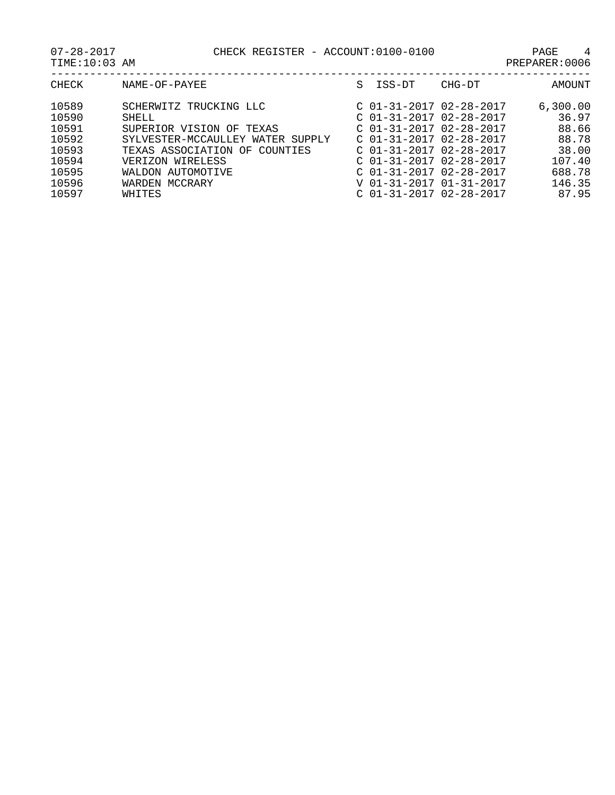| U / - 40 - 40 1 | CHECK KEGISIEK - ACCOUNI•UIUU-UIUU | AUL            |  |
|-----------------|------------------------------------|----------------|--|
| TIME:10:03 AM   |                                    | PREPARER: 0006 |  |

|                | ----- |  |  |
|----------------|-------|--|--|
| PREPARER: 0006 |       |  |  |

| CHECK | NAME-OF-PAYEE                    | S | ISS-DT                    | CHG-DT | AMOUNT   |
|-------|----------------------------------|---|---------------------------|--------|----------|
| 10589 | SCHERWITZ TRUCKING LLC           |   | $C$ 01-31-2017 02-28-2017 |        | 6,300.00 |
| 10590 | SHELL                            |   | $C$ 01-31-2017 02-28-2017 |        | 36.97    |
| 10591 | SUPERIOR VISION OF<br>TEXAS      |   | $C$ 01-31-2017 02-28-2017 |        | 88.66    |
| 10592 | SYLVESTER-MCCAULLEY WATER SUPPLY |   | $C$ 01-31-2017 02-28-2017 |        | 88.78    |
| 10593 | TEXAS ASSOCIATION OF COUNTIES    |   | $C$ 01-31-2017 02-28-2017 |        | 38.00    |
| 10594 | VERIZON WIRELESS                 |   | $C$ 01-31-2017 02-28-2017 |        | 107.40   |
| 10595 | WALDON AUTOMOTIVE                |   | $C$ 01-31-2017 02-28-2017 |        | 688.78   |
| 10596 | WARDEN MCCRARY                   |   | V 01-31-2017 01-31-2017   |        | 146.35   |
| 10597 | WHITES                           |   | $C$ 01-31-2017 02-28-2017 |        | 87.95    |
|       |                                  |   |                           |        |          |